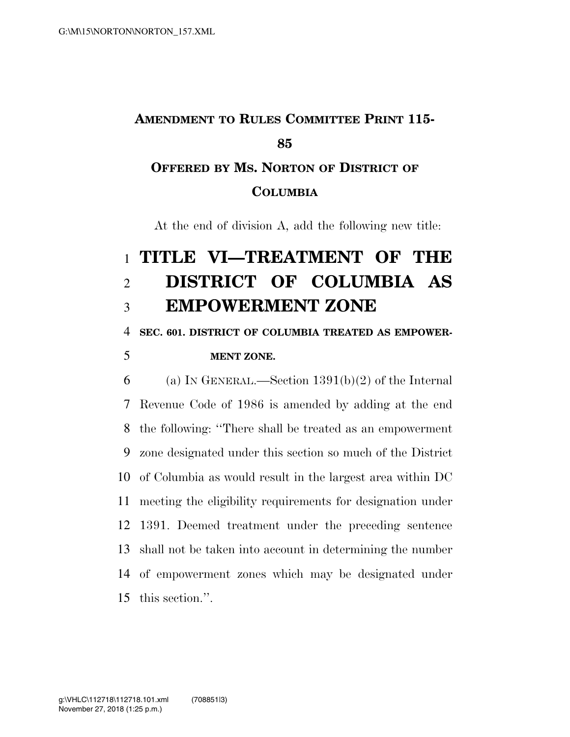## **AMENDMENT TO RULES COMMITTEE PRINT 115- OFFERED BY MS. NORTON OF DISTRICT OF**

### **COLUMBIA**

At the end of division A, add the following new title:

# **TITLE VI—TREATMENT OF THE DISTRICT OF COLUMBIA AS EMPOWERMENT ZONE**

#### **SEC. 601. DISTRICT OF COLUMBIA TREATED AS EMPOWER-**

## **MENT ZONE.**

6 (a) IN GENERAL.—Section  $1391(b)(2)$  of the Internal Revenue Code of 1986 is amended by adding at the end the following: ''There shall be treated as an empowerment zone designated under this section so much of the District of Columbia as would result in the largest area within DC meeting the eligibility requirements for designation under 1391. Deemed treatment under the preceding sentence shall not be taken into account in determining the number of empowerment zones which may be designated under this section.''.